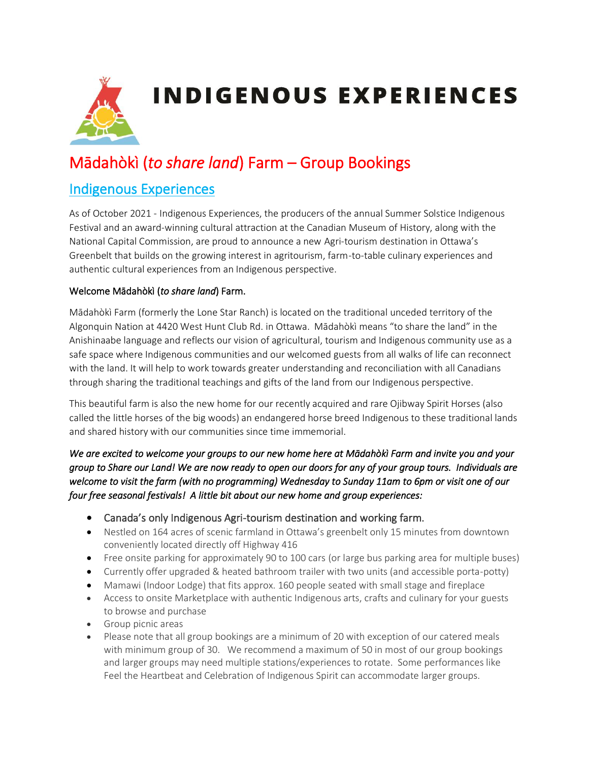

**INDIGENOUS EXPERIENCES** 

# Mādahòkì (*to share land*) Farm – Group Bookings

# Indigenous Experiences

As of October 2021 - Indigenous Experiences, the producers of the annual Summer Solstice Indigenous Festival and an award-winning cultural attraction at the Canadian Museum of History, along with the National Capital Commission, are proud to announce a new Agri-tourism destination in Ottawa's Greenbelt that builds on the growing interest in agritourism, farm-to-table culinary experiences and authentic cultural experiences from an Indigenous perspective.

#### Welcome Mādahòkì (*to share land*) Farm.

Mādahòkì Farm (formerly the Lone Star Ranch) is located on the traditional unceded territory of the Algonquin Nation at 4420 West Hunt Club Rd. in Ottawa. Mādahòkì means "to share the land" in the Anishinaabe language and reflects our vision of agricultural, tourism and Indigenous community use as a safe space where Indigenous communities and our welcomed guests from all walks of life can reconnect with the land. It will help to work towards greater understanding and reconciliation with all Canadians through sharing the traditional teachings and gifts of the land from our Indigenous perspective.

This beautiful farm is also the new home for our recently acquired and rare Ojibway Spirit Horses (also called the little horses of the big woods) an endangered horse breed Indigenous to these traditional lands and shared history with our communities since time immemorial.

*We are excited to welcome your groups to our new home here at Mādahòkì Farm and invite you and your group to Share our Land! We are now ready to open our doors for any of your group tours. Individuals are welcome to visit the farm (with no programming) Wednesday to Sunday 11am to 6pm or visit one of our four free seasonal festivals! A little bit about our new home and group experiences:* 

- Canada's only Indigenous Agri-tourism destination and working farm.
- Nestled on 164 acres of scenic farmland in Ottawa's greenbelt only 15 minutes from downtown conveniently located directly off Highway 416
- Free onsite parking for approximately 90 to 100 cars (or large bus parking area for multiple buses)
- Currently offer upgraded & heated bathroom trailer with two units (and accessible porta-potty)
- Mamawi (Indoor Lodge) that fits approx. 160 people seated with small stage and fireplace
- Access to onsite Marketplace with authentic Indigenous arts, crafts and culinary for your guests to browse and purchase
- Group picnic areas
- Please note that all group bookings are a minimum of 20 with exception of our catered meals with minimum group of 30. We recommend a maximum of 50 in most of our group bookings and larger groups may need multiple stations/experiences to rotate. Some performances like Feel the Heartbeat and Celebration of Indigenous Spirit can accommodate larger groups.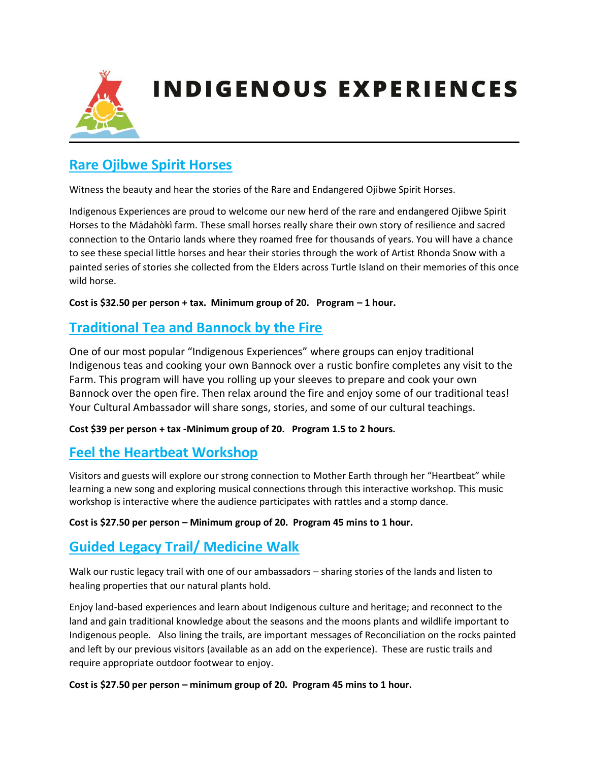

# **INDIGENOUS EXPERIENCES**

# **Rare Ojibwe Spirit Horses**

Witness the beauty and hear the stories of the Rare and Endangered Ojibwe Spirit Horses.

Indigenous Experiences are proud to welcome our new herd of the rare and endangered Ojibwe Spirit Horses to the Mādahòkì farm. These small horses really share their own story of resilience and sacred connection to the Ontario lands where they roamed free for thousands of years. You will have a chance to see these special little horses and hear their stories through the work of Artist Rhonda Snow with a painted series of stories she collected from the Elders across Turtle Island on their memories of this once wild horse.

**Cost is \$32.50 per person + tax. Minimum group of 20. Program – 1 hour.**

# **Traditional Tea and Bannock by the Fire**

One of our most popular "Indigenous Experiences" where groups can enjoy traditional Indigenous teas and cooking your own Bannock over a rustic bonfire completes any visit to the Farm. This program will have you rolling up your sleeves to prepare and cook your own Bannock over the open fire. Then relax around the fire and enjoy some of our traditional teas! Your Cultural Ambassador will share songs, stories, and some of our cultural teachings.

**Cost \$39 per person + tax -Minimum group of 20. Program 1.5 to 2 hours.** 

### **Feel the Heartbeat Workshop**

Visitors and guests will explore our strong connection to Mother Earth through her "Heartbeat" while learning a new song and exploring musical connections through this interactive workshop. This music workshop is interactive where the audience participates with rattles and a stomp dance.

#### **Cost is \$27.50 per person – Minimum group of 20. Program 45 mins to 1 hour.**

### **Guided Legacy Trail/ Medicine Walk**

Walk our rustic legacy trail with one of our ambassadors – sharing stories of the lands and listen to healing properties that our natural plants hold.

Enjoy land-based experiences and learn about Indigenous culture and heritage; and reconnect to the land and gain traditional knowledge about the seasons and the moons plants and wildlife important to Indigenous people. Also lining the trails, are important messages of Reconciliation on the rocks painted and left by our previous visitors (available as an add on the experience). These are rustic trails and require appropriate outdoor footwear to enjoy.

**Cost is \$27.50 per person – minimum group of 20. Program 45 mins to 1 hour.**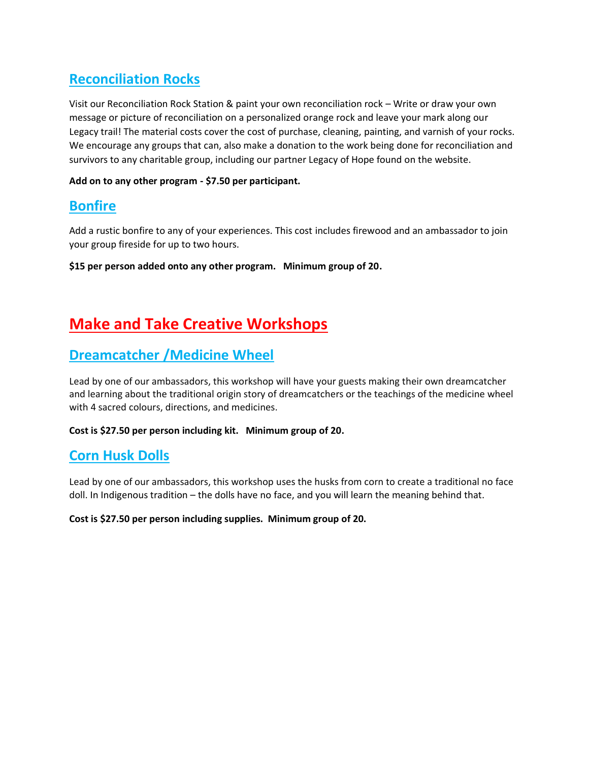# **Reconciliation Rocks**

Visit our Reconciliation Rock Station & paint your own reconciliation rock – Write or draw your own message or picture of reconciliation on a personalized orange rock and leave your mark along our Legacy trail! The material costs cover the cost of purchase, cleaning, painting, and varnish of your rocks. We encourage any groups that can, also make a donation to the work being done for reconciliation and survivors to any charitable group, including our partner Legacy of Hope found on the website.

#### **Add on to any other program - \$7.50 per participant.**

# **Bonfire**

Add a rustic bonfire to any of your experiences. This cost includes firewood and an ambassador to join your group fireside for up to two hours.

**\$15 per person added onto any other program. Minimum group of 20.**

# **Make and Take Creative Workshops**

# **Dreamcatcher /Medicine Wheel**

Lead by one of our ambassadors, this workshop will have your guests making their own dreamcatcher and learning about the traditional origin story of dreamcatchers or the teachings of the medicine wheel with 4 sacred colours, directions, and medicines.

#### **Cost is \$27.50 per person including kit. Minimum group of 20.**

# **Corn Husk Dolls**

Lead by one of our ambassadors, this workshop uses the husks from corn to create a traditional no face doll. In Indigenous tradition – the dolls have no face, and you will learn the meaning behind that.

#### **Cost is \$27.50 per person including supplies. Minimum group of 20.**